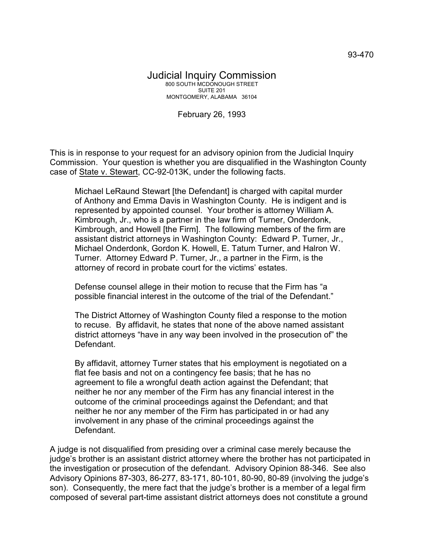## Judicial Inquiry Commission 800 SOUTH MCDONOUGH STREET SUITE 201 MONTGOMERY, ALABAMA 36104

February 26, 1993

This is in response to your request for an advisory opinion from the Judicial Inquiry Commission. Your question is whether you are disqualified in the Washington County case of State v. Stewart, CC-92-013K, under the following facts.

Michael LeRaund Stewart [the Defendant] is charged with capital murder of Anthony and Emma Davis in Washington County. He is indigent and is represented by appointed counsel. Your brother is attorney William A. Kimbrough, Jr., who is a partner in the law firm of Turner, Onderdonk, Kimbrough, and Howell [the Firm]. The following members of the firm are assistant district attorneys in Washington County: Edward P. Turner, Jr., Michael Onderdonk, Gordon K. Howell, E. Tatum Turner, and Halron W. Turner. Attorney Edward P. Turner, Jr., a partner in the Firm, is the attorney of record in probate court for the victims' estates.

Defense counsel allege in their motion to recuse that the Firm has "a possible financial interest in the outcome of the trial of the Defendant."

The District Attorney of Washington County filed a response to the motion to recuse. By affidavit, he states that none of the above named assistant district attorneys "have in any way been involved in the prosecution of" the Defendant.

By affidavit, attorney Turner states that his employment is negotiated on a flat fee basis and not on a contingency fee basis; that he has no agreement to file a wrongful death action against the Defendant; that neither he nor any member of the Firm has any financial interest in the outcome of the criminal proceedings against the Defendant; and that neither he nor any member of the Firm has participated in or had any involvement in any phase of the criminal proceedings against the Defendant.

A judge is not disqualified from presiding over a criminal case merely because the judge's brother is an assistant district attorney where the brother has not participated in the investigation or prosecution of the defendant. Advisory Opinion 88-346. See also Advisory Opinions 87-303, 86-277, 83-171, 80-101, 80-90, 80-89 (involving the judge's son). Consequently, the mere fact that the judge's brother is a member of a legal firm composed of several part-time assistant district attorneys does not constitute a ground